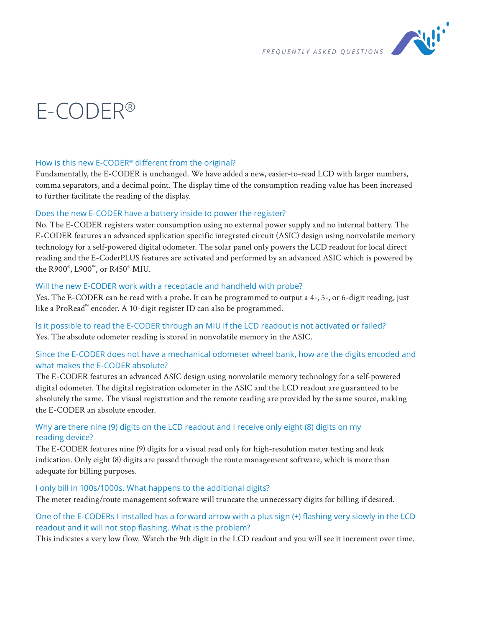

# E-CODER®

#### How is this new E-CODER® different from the original?

Fundamentally, the E-CODER is unchanged. We have added a new, easier-to-read LCD with larger numbers, comma separators, and a decimal point. The display time of the consumption reading value has been increased to further facilitate the reading of the display.

#### Does the new E-CODER have a battery inside to power the register?

No. The E-CODER registers water consumption using no external power supply and no internal battery. The E-CODER features an advanced application specific integrated circuit (ASIC) design using nonvolatile memory technology for a self-powered digital odometer. The solar panel only powers the LCD readout for local direct reading and the E-CoderPLUS features are activated and performed by an advanced ASIC which is powered by the R900® , L900™, or R450® MIU.

#### Will the new E-CODER work with a receptacle and handheld with probe?

Yes. The E-CODER can be read with a probe. It can be programmed to output a 4-, 5-, or 6-digit reading, just like a ProRead™ encoder. A 10-digit register ID can also be programmed.

Is it possible to read the E-CODER through an MIU if the LCD readout is not activated or failed? Yes. The absolute odometer reading is stored in nonvolatile memory in the ASIC.

# Since the E-CODER does not have a mechanical odometer wheel bank, how are the digits encoded and what makes the E-CODER absolute?

The E-CODER features an advanced ASIC design using nonvolatile memory technology for a self-powered digital odometer. The digital registration odometer in the ASIC and the LCD readout are guaranteed to be absolutely the same. The visual registration and the remote reading are provided by the same source, making the E-CODER an absolute encoder.

# Why are there nine (9) digits on the LCD readout and I receive only eight (8) digits on my reading device?

The E-CODER features nine (9) digits for a visual read only for high-resolution meter testing and leak indication. Only eight (8) digits are passed through the route management software, which is more than adequate for billing purposes.

# I only bill in 100s/1000s. What happens to the additional digits?

The meter reading/route management software will truncate the unnecessary digits for billing if desired.

# One of the E-CODERs I installed has a forward arrow with a plus sign (+) flashing very slowly in the LCD readout and it will not stop flashing. What is the problem?

This indicates a very low flow. Watch the 9th digit in the LCD readout and you will see it increment over time.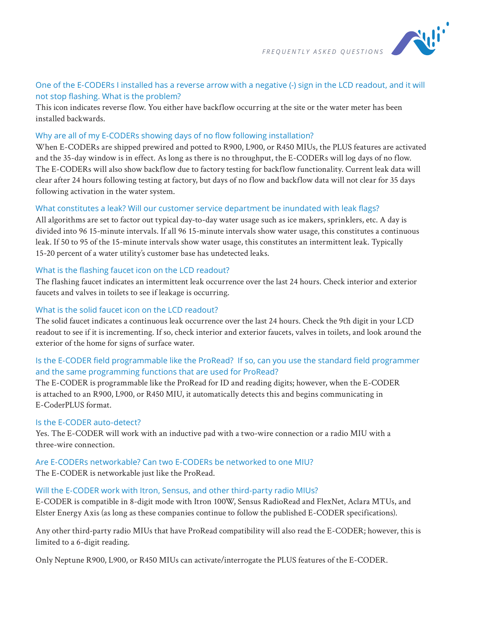

# One of the E-CODERs I installed has a reverse arrow with a negative (-) sign in the LCD readout, and it will not stop flashing. What is the problem?

This icon indicates reverse flow. You either have backflow occurring at the site or the water meter has been installed backwards.

#### Why are all of my E-CODERs showing days of no flow following installation?

When E-CODERs are shipped prewired and potted to R900, L900, or R450 MIUs, the PLUS features are activated and the 35-day window is in effect. As long as there is no throughput, the E-CODERs will log days of no flow. The E-CODERs will also show backflow due to factory testing for backflow functionality. Current leak data will clear after 24 hours following testing at factory, but days of no flow and backflow data will not clear for 35 days following activation in the water system.

#### What constitutes a leak? Will our customer service department be inundated with leak flags?

All algorithms are set to factor out typical day-to-day water usage such as ice makers, sprinklers, etc. A day is divided into 96 15-minute intervals. If all 96 15-minute intervals show water usage, this constitutes a continuous leak. If 50 to 95 of the 15-minute intervals show water usage, this constitutes an intermittent leak. Typically 15-20 percent of a water utility's customer base has undetected leaks.

# What is the flashing faucet icon on the LCD readout?

The flashing faucet indicates an intermittent leak occurrence over the last 24 hours. Check interior and exterior faucets and valves in toilets to see if leakage is occurring.

#### What is the solid faucet icon on the LCD readout?

The solid faucet indicates a continuous leak occurrence over the last 24 hours. Check the 9th digit in your LCD readout to see if it is incrementing. If so, check interior and exterior faucets, valves in toilets, and look around the exterior of the home for signs of surface water.

# Is the E-CODER field programmable like the ProRead? If so, can you use the standard field programmer and the same programming functions that are used for ProRead?

The E-CODER is programmable like the ProRead for ID and reading digits; however, when the E-CODER is attached to an R900, L900, or R450 MIU, it automatically detects this and begins communicating in E-CoderPLUS format.

# Is the E-CODER auto-detect?

Yes. The E-CODER will work with an inductive pad with a two-wire connection or a radio MIU with a three-wire connection.

# Are E-CODERs networkable? Can two E-CODERs be networked to one MIU?

The E-CODER is networkable just like the ProRead.

# Will the E-CODER work with Itron, Sensus, and other third-party radio MIUs?

E-CODER is compatible in 8-digit mode with Itron 100W, Sensus RadioRead and FlexNet, Aclara MTUs, and Elster Energy Axis (as long as these companies continue to follow the published E-CODER specifications).

Any other third-party radio MIUs that have ProRead compatibility will also read the E-CODER; however, this is limited to a 6-digit reading.

Only Neptune R900, L900, or R450 MIUs can activate/interrogate the PLUS features of the E-CODER.